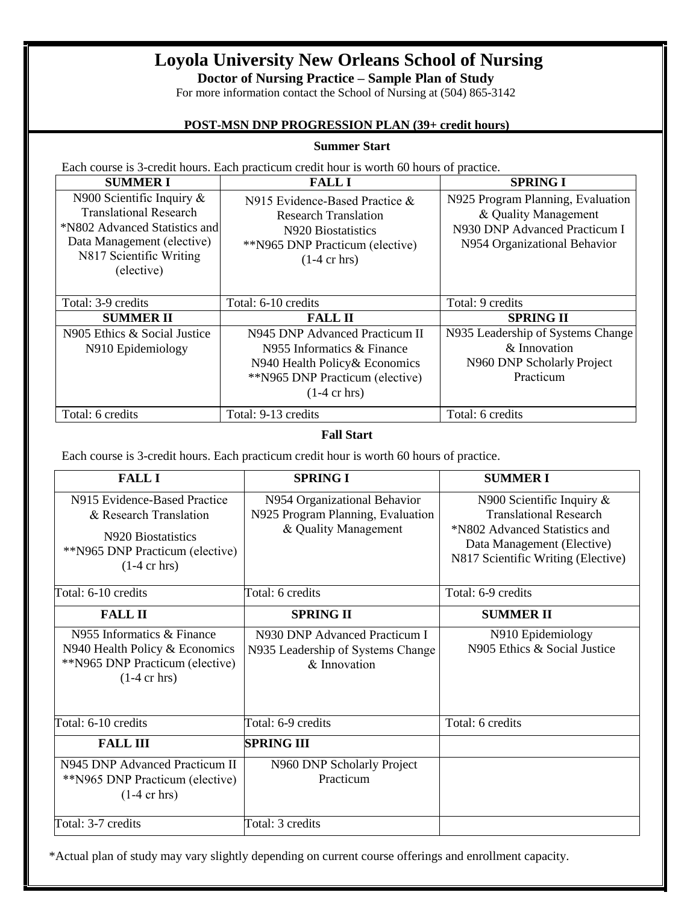# **Loyola University New Orleans School of Nursing**

**Doctor of Nursing Practice – Sample Plan of Study**

For more information contact the School of Nursing at (504) 865-3142

## **POST-MSN DNP PROGRESSION PLAN (39+ credit hours)**

#### **Summer Start**

Each course is 3-credit hours. Each practicum credit hour is worth 60 hours of practice.

| <b>SUMMERI</b>                                                                                                                                                        | <b>FALL I</b>                                                                                                                                               | <b>SPRING I</b>                                                                                                            |
|-----------------------------------------------------------------------------------------------------------------------------------------------------------------------|-------------------------------------------------------------------------------------------------------------------------------------------------------------|----------------------------------------------------------------------------------------------------------------------------|
| N900 Scientific Inquiry $\&$<br><b>Translational Research</b><br>*N802 Advanced Statistics and<br>Data Management (elective)<br>N817 Scientific Writing<br>(elective) | N915 Evidence-Based Practice $\&$<br><b>Research Translation</b><br>N920 Biostatistics<br>**N965 DNP Practicum (elective)<br>$(1-4 \text{ cr hrs})$         | N925 Program Planning, Evaluation<br>& Quality Management<br>N930 DNP Advanced Practicum I<br>N954 Organizational Behavior |
| Total: 3-9 credits                                                                                                                                                    | Total: 6-10 credits                                                                                                                                         | Total: 9 credits                                                                                                           |
| <b>SUMMER II</b>                                                                                                                                                      | <b>FALL II</b>                                                                                                                                              | <b>SPRING II</b>                                                                                                           |
| N905 Ethics & Social Justice<br>N910 Epidemiology                                                                                                                     | N945 DNP Advanced Practicum II<br>N955 Informatics & Finance<br>N940 Health Policy & Economics<br>**N965 DNP Practicum (elective)<br>$(1-4 \text{ cr hrs})$ | N935 Leadership of Systems Change<br>$\&$ Innovation<br>N960 DNP Scholarly Project<br>Practicum                            |
| Total: 6 credits                                                                                                                                                      | Total: 9-13 credits                                                                                                                                         | Total: 6 credits                                                                                                           |

### **Fall Start**

Each course is 3-credit hours. Each practicum credit hour is worth 60 hours of practice.

| <b>FALLI</b>                                                                                                                              | <b>SPRING I</b>                                                                           | <b>SUMMER I</b>                                                                                                                                                    |
|-------------------------------------------------------------------------------------------------------------------------------------------|-------------------------------------------------------------------------------------------|--------------------------------------------------------------------------------------------------------------------------------------------------------------------|
| N915 Evidence-Based Practice<br>& Research Translation<br>N920 Biostatistics<br>**N965 DNP Practicum (elective)<br>$(1-4 \text{ cr hrs})$ | N954 Organizational Behavior<br>N925 Program Planning, Evaluation<br>& Quality Management | N900 Scientific Inquiry $\&$<br><b>Translational Research</b><br>*N802 Advanced Statistics and<br>Data Management (Elective)<br>N817 Scientific Writing (Elective) |
| Total: 6-10 credits                                                                                                                       | Total: 6 credits                                                                          | Total: 6-9 credits                                                                                                                                                 |
| <b>FALL II</b>                                                                                                                            | <b>SPRING II</b>                                                                          | <b>SUMMER II</b>                                                                                                                                                   |
| N955 Informatics & Finance<br>N940 Health Policy & Economics<br>**N965 DNP Practicum (elective)<br>$(1-4 \text{ cr hrs})$                 | N930 DNP Advanced Practicum I<br>N935 Leadership of Systems Change<br>& Innovation        | N910 Epidemiology<br>N905 Ethics & Social Justice                                                                                                                  |
| Total: 6-10 credits                                                                                                                       | Total: 6-9 credits                                                                        | Total: 6 credits                                                                                                                                                   |
| <b>FALL III</b>                                                                                                                           | <b>SPRING III</b>                                                                         |                                                                                                                                                                    |
| N945 DNP Advanced Practicum II<br>**N965 DNP Practicum (elective)<br>$(1-4 \text{ cr hrs})$                                               | N960 DNP Scholarly Project<br>Practicum                                                   |                                                                                                                                                                    |
| Total: 3-7 credits                                                                                                                        | Total: 3 credits                                                                          |                                                                                                                                                                    |

\*Actual plan of study may vary slightly depending on current course offerings and enrollment capacity.